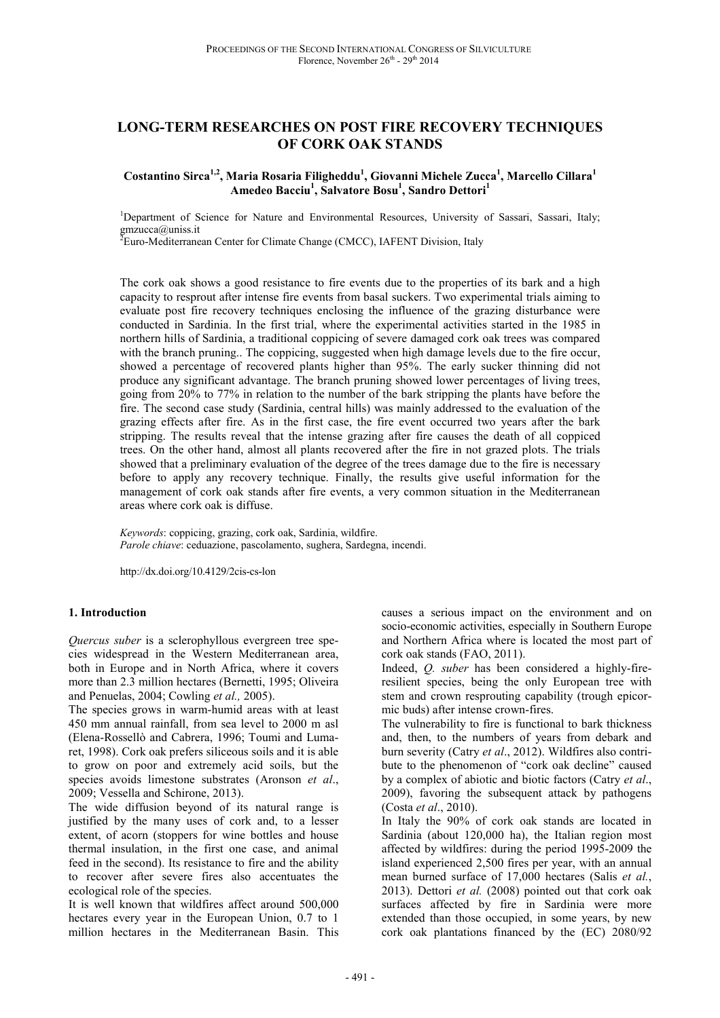# **LONG-TERM RESEARCHES ON POST FIRE RECOVERY TECHNIQUES OF CORK OAK STANDS**

**Costantino Sirca1,2, Maria Rosaria Filigheddu<sup>1</sup> , Giovanni Michele Zucca<sup>1</sup> , Marcello Cillara<sup>1</sup> Amedeo Bacciu<sup>1</sup> , Salvatore Bosu<sup>1</sup> , Sandro Dettori<sup>1</sup>**

<sup>1</sup>Department of Science for Nature and Environmental Resources, University of Sassari, Sassari, Italy; gmzucca@uniss.it

 ${}^{2}$ Euro-Mediterranean Center for Climate Change (CMCC), IAFENT Division, Italy

The cork oak shows a good resistance to fire events due to the properties of its bark and a high capacity to resprout after intense fire events from basal suckers. Two experimental trials aiming to evaluate post fire recovery techniques enclosing the influence of the grazing disturbance were conducted in Sardinia. In the first trial, where the experimental activities started in the 1985 in northern hills of Sardinia, a traditional coppicing of severe damaged cork oak trees was compared with the branch pruning.. The coppicing, suggested when high damage levels due to the fire occur, showed a percentage of recovered plants higher than 95%. The early sucker thinning did not produce any significant advantage. The branch pruning showed lower percentages of living trees, going from 20% to 77% in relation to the number of the bark stripping the plants have before the fire. The second case study (Sardinia, central hills) was mainly addressed to the evaluation of the grazing effects after fire. As in the first case, the fire event occurred two years after the bark stripping. The results reveal that the intense grazing after fire causes the death of all coppiced trees. On the other hand, almost all plants recovered after the fire in not grazed plots. The trials showed that a preliminary evaluation of the degree of the trees damage due to the fire is necessary before to apply any recovery technique. Finally, the results give useful information for the management of cork oak stands after fire events, a very common situation in the Mediterranean areas where cork oak is diffuse.

*Keywords*: coppicing, grazing, cork oak, Sardinia, wildfire. *Parole chiave*: ceduazione, pascolamento, sughera, Sardegna, incendi.

http://dx.doi.org/10.4129/2cis-cs-lon

#### **1. Introduction**

*Quercus suber* is a sclerophyllous evergreen tree species widespread in the Western Mediterranean area, both in Europe and in North Africa, where it covers more than 2.3 million hectares (Bernetti, 1995; Oliveira and Penuelas, 2004; Cowling *et al.,* 2005).

The species grows in warm-humid areas with at least 450 mm annual rainfall, from sea level to 2000 m asl (Elena-Rossellò and Cabrera, 1996; Toumi and Lumaret, 1998). Cork oak prefers siliceous soils and it is able to grow on poor and extremely acid soils, but the species avoids limestone substrates (Aronson *et al*., 2009; Vessella and Schirone, 2013).

The wide diffusion beyond of its natural range is justified by the many uses of cork and, to a lesser extent, of acorn (stoppers for wine bottles and house thermal insulation, in the first one case, and animal feed in the second). Its resistance to fire and the ability to recover after severe fires also accentuates the ecological role of the species.

It is well known that wildfires affect around 500,000 hectares every year in the European Union, 0.7 to 1 million hectares in the Mediterranean Basin. This causes a serious impact on the environment and on socio-economic activities, especially in Southern Europe and Northern Africa where is located the most part of cork oak stands (FAO, 2011).

Indeed, *Q. suber* has been considered a highly-fireresilient species, being the only European tree with stem and crown resprouting capability (trough epicormic buds) after intense crown-fires.

The vulnerability to fire is functional to bark thickness and, then, to the numbers of years from debark and burn severity (Catry *et al*., 2012). Wildfires also contribute to the phenomenon of "cork oak decline" caused by a complex of abiotic and biotic factors (Catry *et al*., 2009), favoring the subsequent attack by pathogens (Costa *et al*., 2010).

In Italy the 90% of cork oak stands are located in Sardinia (about 120,000 ha), the Italian region most affected by wildfires: during the period 1995-2009 the island experienced 2,500 fires per year, with an annual mean burned surface of 17,000 hectares (Salis *et al.*, 2013). Dettori *et al.* (2008) pointed out that cork oak surfaces affected by fire in Sardinia were more extended than those occupied, in some years, by new cork oak plantations financed by the (EC) 2080/92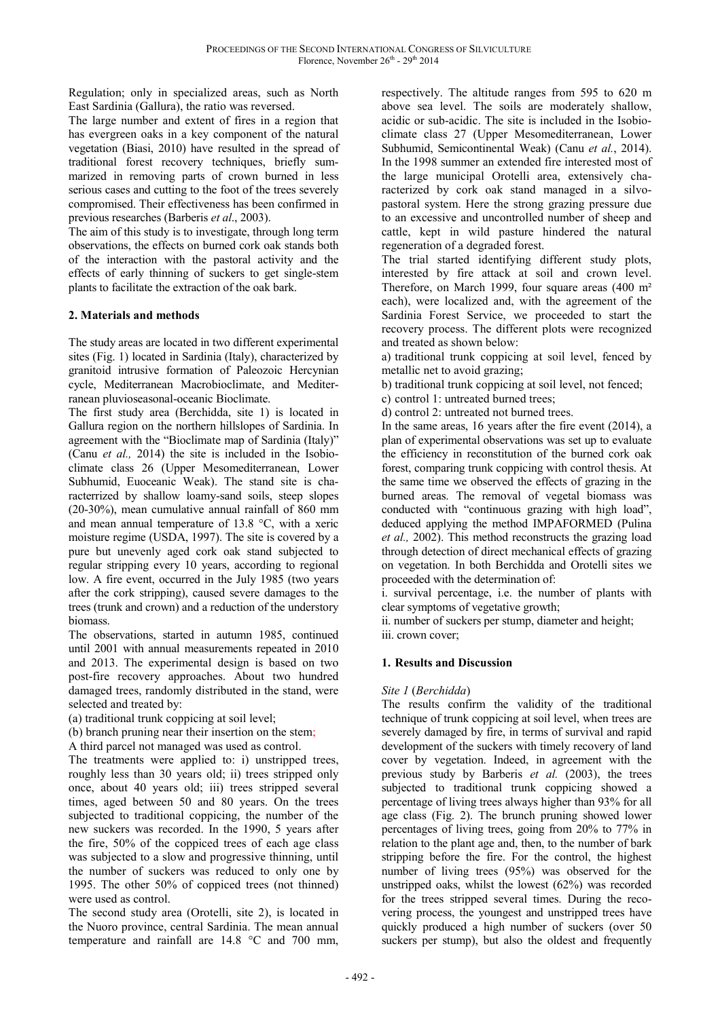Regulation; only in specialized areas, such as North East Sardinia (Gallura), the ratio was reversed.

The large number and extent of fires in a region that has evergreen oaks in a key component of the natural vegetation (Biasi, 2010) have resulted in the spread of traditional forest recovery techniques, briefly summarized in removing parts of crown burned in less serious cases and cutting to the foot of the trees severely compromised. Their effectiveness has been confirmed in previous researches (Barberis *et al*., 2003).

The aim of this study is to investigate, through long term observations, the effects on burned cork oak stands both of the interaction with the pastoral activity and the effects of early thinning of suckers to get single-stem plants to facilitate the extraction of the oak bark.

## **2. Materials and methods**

The study areas are located in two different experimental sites (Fig. 1) located in Sardinia (Italy), characterized by granitoid intrusive formation of Paleozoic Hercynian cycle, Mediterranean Macrobioclimate, and Mediterranean pluvioseasonal-oceanic Bioclimate.

The first study area (Berchidda, site 1) is located in Gallura region on the northern hillslopes of Sardinia. In agreement with the "Bioclimate map of Sardinia (Italy)" (Canu *et al.,* 2014) the site is included in the Isobioclimate class 26 (Upper Mesomediterranean, Lower Subhumid, Euoceanic Weak). The stand site is characterrized by shallow loamy-sand soils, steep slopes (20-30%), mean cumulative annual rainfall of 860 mm and mean annual temperature of 13.8 °C, with a xeric moisture regime (USDA, 1997). The site is covered by a pure but unevenly aged cork oak stand subjected to regular stripping every 10 years, according to regional low. A fire event, occurred in the July 1985 (two years after the cork stripping), caused severe damages to the trees (trunk and crown) and a reduction of the understory biomass.

The observations, started in autumn 1985, continued until 2001 with annual measurements repeated in 2010 and 2013. The experimental design is based on two post-fire recovery approaches. About two hundred damaged trees, randomly distributed in the stand, were selected and treated by:

(a) traditional trunk coppicing at soil level;

(b) branch pruning near their insertion on the stem;

A third parcel not managed was used as control.

The treatments were applied to: i) unstripped trees, roughly less than 30 years old; ii) trees stripped only once, about 40 years old; iii) trees stripped several times, aged between 50 and 80 years. On the trees subjected to traditional coppicing, the number of the new suckers was recorded. In the 1990, 5 years after the fire, 50% of the coppiced trees of each age class was subjected to a slow and progressive thinning, until the number of suckers was reduced to only one by 1995. The other 50% of coppiced trees (not thinned) were used as control.

The second study area (Orotelli, site 2), is located in the Nuoro province, central Sardinia. The mean annual temperature and rainfall are 14.8 °C and 700 mm, respectively. The altitude ranges from 595 to 620 m above sea level. The soils are moderately shallow, acidic or sub-acidic. The site is included in the Isobioclimate class 27 (Upper Mesomediterranean, Lower Subhumid, Semicontinental Weak) (Canu *et al.*, 2014). In the 1998 summer an extended fire interested most of the large municipal Orotelli area, extensively characterized by cork oak stand managed in a silvopastoral system. Here the strong grazing pressure due to an excessive and uncontrolled number of sheep and cattle, kept in wild pasture hindered the natural regeneration of a degraded forest.

The trial started identifying different study plots, interested by fire attack at soil and crown level. Therefore, on March 1999, four square areas (400 m² each), were localized and, with the agreement of the Sardinia Forest Service, we proceeded to start the recovery process. The different plots were recognized and treated as shown below:

a) traditional trunk coppicing at soil level, fenced by metallic net to avoid grazing;

b) traditional trunk coppicing at soil level, not fenced;

c) control 1: untreated burned trees;

d) control 2: untreated not burned trees.

In the same areas, 16 years after the fire event (2014), a plan of experimental observations was set up to evaluate the efficiency in reconstitution of the burned cork oak forest, comparing trunk coppicing with control thesis. At the same time we observed the effects of grazing in the burned areas. The removal of vegetal biomass was conducted with "continuous grazing with high load", deduced applying the method IMPAFORMED (Pulina *et al.,* 2002). This method reconstructs the grazing load through detection of direct mechanical effects of grazing on vegetation. In both Berchidda and Orotelli sites we proceeded with the determination of:

i. survival percentage, i.e. the number of plants with clear symptoms of vegetative growth;

ii. number of suckers per stump, diameter and height; iii. crown cover;

## **1. Results and Discussion**

#### *Site 1* (*Berchidda*)

The results confirm the validity of the traditional technique of trunk coppicing at soil level, when trees are severely damaged by fire, in terms of survival and rapid development of the suckers with timely recovery of land cover by vegetation. Indeed, in agreement with the previous study by Barberis *et al.* (2003), the trees subjected to traditional trunk coppicing showed a percentage of living trees always higher than 93% for all age class (Fig. 2). The brunch pruning showed lower percentages of living trees, going from 20% to 77% in relation to the plant age and, then, to the number of bark stripping before the fire. For the control, the highest number of living trees (95%) was observed for the unstripped oaks, whilst the lowest (62%) was recorded for the trees stripped several times. During the recovering process, the youngest and unstripped trees have quickly produced a high number of suckers (over 50 suckers per stump), but also the oldest and frequently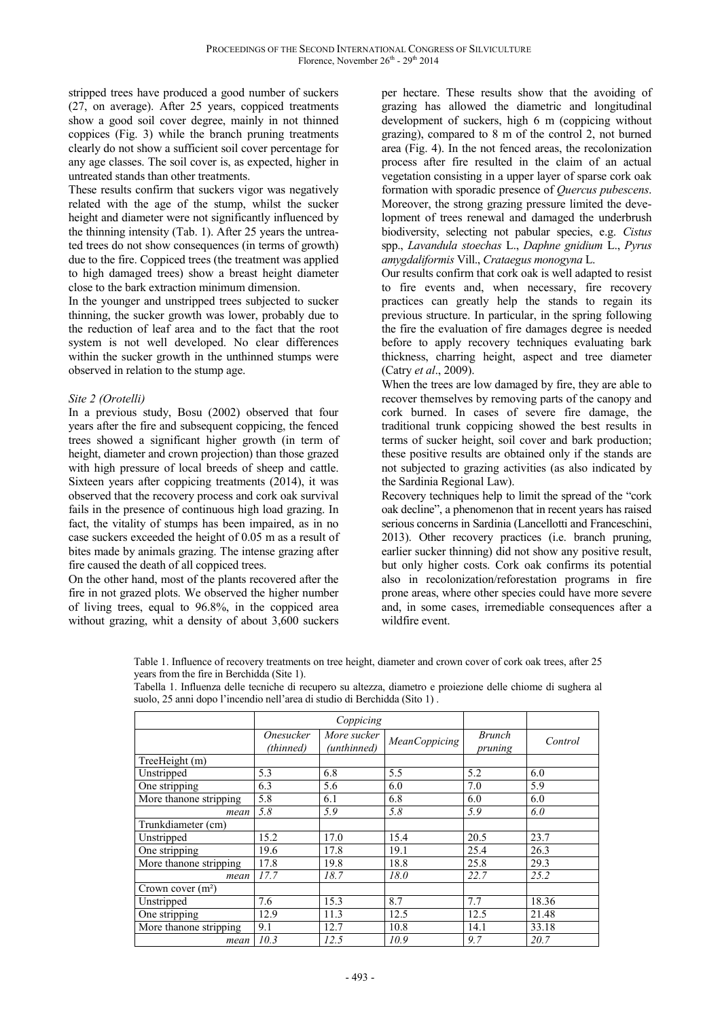stripped trees have produced a good number of suckers (27, on average). After 25 years, coppiced treatments show a good soil cover degree, mainly in not thinned coppices (Fig. 3) while the branch pruning treatments clearly do not show a sufficient soil cover percentage for any age classes. The soil cover is, as expected, higher in untreated stands than other treatments.

These results confirm that suckers vigor was negatively related with the age of the stump, whilst the sucker height and diameter were not significantly influenced by the thinning intensity (Tab. 1). After 25 years the untreated trees do not show consequences (in terms of growth) due to the fire. Coppiced trees (the treatment was applied to high damaged trees) show a breast height diameter close to the bark extraction minimum dimension.

In the younger and unstripped trees subjected to sucker thinning, the sucker growth was lower, probably due to the reduction of leaf area and to the fact that the root system is not well developed. No clear differences within the sucker growth in the unthinned stumps were observed in relation to the stump age.

### *Site 2 (Orotelli)*

In a previous study, Bosu (2002) observed that four years after the fire and subsequent coppicing, the fenced trees showed a significant higher growth (in term of height, diameter and crown projection) than those grazed with high pressure of local breeds of sheep and cattle. Sixteen years after coppicing treatments (2014), it was observed that the recovery process and cork oak survival fails in the presence of continuous high load grazing. In fact, the vitality of stumps has been impaired, as in no case suckers exceeded the height of 0.05 m as a result of bites made by animals grazing. The intense grazing after fire caused the death of all coppiced trees.

On the other hand, most of the plants recovered after the fire in not grazed plots. We observed the higher number of living trees, equal to 96.8%, in the coppiced area without grazing, whit a density of about 3,600 suckers

per hectare. These results show that the avoiding of grazing has allowed the diametric and longitudinal development of suckers, high 6 m (coppicing without grazing), compared to 8 m of the control 2, not burned area (Fig. 4). In the not fenced areas, the recolonization process after fire resulted in the claim of an actual vegetation consisting in a upper layer of sparse cork oak formation with sporadic presence of *Quercus pubescens*. Moreover, the strong grazing pressure limited the development of trees renewal and damaged the underbrush biodiversity, selecting not pabular species, e.g. *Cistus*  spp., *Lavandula stoechas* L., *Daphne gnidium* L., *Pyrus amygdaliformis* Vill., *Crataegus monogyna* L.

Our results confirm that cork oak is well adapted to resist to fire events and, when necessary, fire recovery practices can greatly help the stands to regain its previous structure. In particular, in the spring following the fire the evaluation of fire damages degree is needed before to apply recovery techniques evaluating bark thickness, charring height, aspect and tree diameter (Catry *et al*., 2009).

When the trees are low damaged by fire, they are able to recover themselves by removing parts of the canopy and cork burned. In cases of severe fire damage, the traditional trunk coppicing showed the best results in terms of sucker height, soil cover and bark production; these positive results are obtained only if the stands are not subjected to grazing activities (as also indicated by the Sardinia Regional Law).

Recovery techniques help to limit the spread of the "cork oak decline", a phenomenon that in recent years has raised serious concerns in Sardinia (Lancellotti and Franceschini, 2013). Other recovery practices (i.e. branch pruning, earlier sucker thinning) did not show any positive result, but only higher costs. Cork oak confirms its potential also in recolonization/reforestation programs in fire prone areas, where other species could have more severe and, in some cases, irremediable consequences after a wildfire event.

Table 1. Influence of recovery treatments on tree height, diameter and crown cover of cork oak trees, after 25 years from the fire in Berchidda (Site 1).

| Tabella 1. Influenza delle tecniche di recupero su altezza, diametro e proiezione delle chiome di sughera al |  |  |  |  |  |
|--------------------------------------------------------------------------------------------------------------|--|--|--|--|--|
| suolo, 25 anni dopo l'incendio nell'area di studio di Berchidda (Sito 1).                                    |  |  |  |  |  |

|                        |                                      | Coppicing                  |                      |                          |         |  |
|------------------------|--------------------------------------|----------------------------|----------------------|--------------------------|---------|--|
|                        | <i><b>Onesucker</b></i><br>(thinned) | More sucker<br>(unthinned) | <b>MeanCoppicing</b> | <b>Brunch</b><br>pruning | Control |  |
| TreeHeight (m)         |                                      |                            |                      |                          |         |  |
| Unstripped             | 5.3                                  | 6.8                        | 5.5                  | 5.2                      | 6.0     |  |
| One stripping          | 6.3                                  | 5.6                        | 6.0                  | 7.0                      | 5.9     |  |
| More thanone stripping | 5.8                                  | 6.1                        | 6.8                  | 6.0                      | 6.0     |  |
| mean                   | 5.8                                  | 5.9                        | 5.8                  | 5.9                      | 6.0     |  |
| Trunkdiameter (cm)     |                                      |                            |                      |                          |         |  |
| Unstripped             | 15.2                                 | 17.0                       | 15.4                 | 20.5                     | 23.7    |  |
| One stripping          | 19.6                                 | 17.8                       | 19.1                 | 25.4                     | 26.3    |  |
| More thanone stripping | 17.8                                 | 19.8                       | 18.8                 | 25.8                     | 29.3    |  |
| mean                   | 17.7                                 | 18.7                       | 18.0                 | 22.7                     | 25.2    |  |
| Crown cover $(m2)$     |                                      |                            |                      |                          |         |  |
| Unstripped             | 7.6                                  | 15.3                       | 8.7                  | 7.7                      | 18.36   |  |
| One stripping          | 12.9                                 | 11.3                       | 12.5                 | 12.5                     | 21.48   |  |
| More thanone stripping | 9.1                                  | 12.7                       | 10.8                 | 14.1                     | 33.18   |  |
| mean                   | 10.3                                 | 12.5                       | 10.9                 | 9.7                      | 20.7    |  |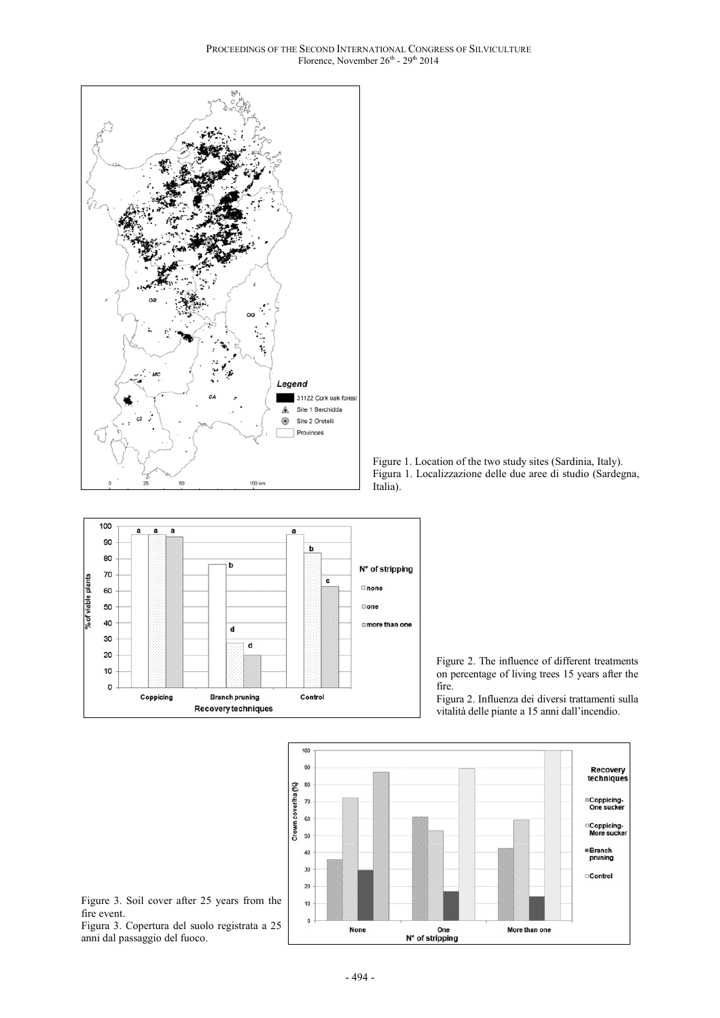







Figura 2. Influenza dei diversi trattamenti sulla vitalità delle piante a 15 anni dall'incendio.



Figure 3. Soil cover after 25 years from the fire event. Figura 3. Copertura del suolo registrata a 25

anni dal passaggio del fuoco.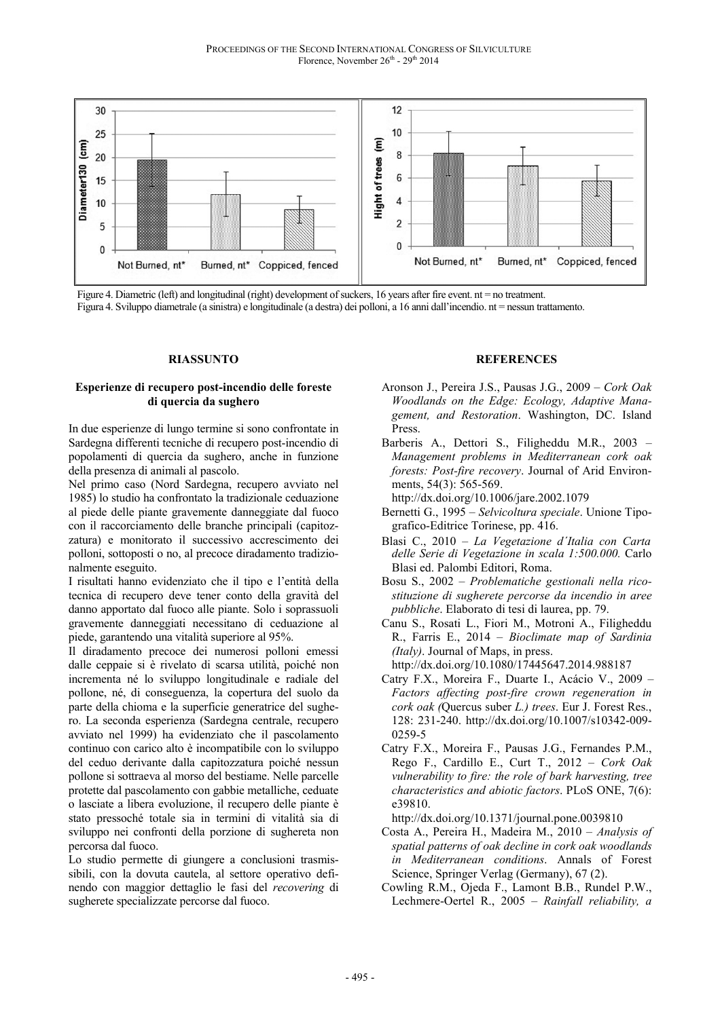

Figure 4. Diametric (left) and longitudinal (right) development of suckers, 16 years after fire event. nt = no treatment.

Figura 4. Sviluppo diametrale (a sinistra) e longitudinale (a destra) dei polloni, a 16 anni dall'incendio. nt = nessun trattamento.

#### **RIASSUNTO**

#### **Esperienze di recupero post-incendio delle foreste di quercia da sughero**

In due esperienze di lungo termine si sono confrontate in Sardegna differenti tecniche di recupero post-incendio di popolamenti di quercia da sughero, anche in funzione della presenza di animali al pascolo.

Nel primo caso (Nord Sardegna, recupero avviato nel 1985) lo studio ha confrontato la tradizionale ceduazione al piede delle piante gravemente danneggiate dal fuoco con il raccorciamento delle branche principali (capitozzatura) e monitorato il successivo accrescimento dei polloni, sottoposti o no, al precoce diradamento tradizionalmente eseguito.

I risultati hanno evidenziato che il tipo e l'entità della tecnica di recupero deve tener conto della gravità del danno apportato dal fuoco alle piante. Solo i soprassuoli gravemente danneggiati necessitano di ceduazione al piede, garantendo una vitalità superiore al 95%.

Il diradamento precoce dei numerosi polloni emessi dalle ceppaie si è rivelato di scarsa utilità, poiché non incrementa né lo sviluppo longitudinale e radiale del pollone, né, di conseguenza, la copertura del suolo da parte della chioma e la superficie generatrice del sughero. La seconda esperienza (Sardegna centrale, recupero avviato nel 1999) ha evidenziato che il pascolamento continuo con carico alto è incompatibile con lo sviluppo del ceduo derivante dalla capitozzatura poiché nessun pollone si sottraeva al morso del bestiame. Nelle parcelle protette dal pascolamento con gabbie metalliche, ceduate o lasciate a libera evoluzione, il recupero delle piante è stato pressoché totale sia in termini di vitalità sia di sviluppo nei confronti della porzione di sughereta non percorsa dal fuoco.

Lo studio permette di giungere a conclusioni trasmissibili, con la dovuta cautela, al settore operativo definendo con maggior dettaglio le fasi del *recovering* di sugherete specializzate percorse dal fuoco.

#### **REFERENCES**

- Aronson J., Pereira J.S., Pausas J.G., 2009 *Cork Oak Woodlands on the Edge: Ecology, Adaptive Management, and Restoration*. Washington, DC. Island Press.
- Barberis A., Dettori S., Filigheddu M.R., 2003 *Management problems in Mediterranean cork oak forests: Post-fire recovery*. Journal of Arid Environments, 54(3): 565-569.

http://dx.doi.org/10.1006/jare.2002.1079

- Bernetti G., 1995 *Selvicoltura speciale*. Unione Tipografico-Editrice Torinese, pp. 416.
- Blasi C., 2010 *La Vegetazione d´Italia con Carta delle Serie di Vegetazione in scala 1:500.000.* Carlo Blasi ed. Palombi Editori, Roma.
- Bosu S., 2002 *Problematiche gestionali nella ricostituzione di sugherete percorse da incendio in aree pubbliche*. Elaborato di tesi di laurea, pp. 79.
- Canu S., Rosati L., Fiori M., Motroni A., Filigheddu R., Farris E., 2014 – *Bioclimate map of Sardinia (Italy)*. Journal of Maps, in press.

http://dx.doi.org/10.1080/17445647.2014.988187

- Catry F.X., Moreira F., Duarte I., Acácio V., 2009 *Factors affecting post-fire crown regeneration in cork oak (*Quercus suber *L.) trees*. Eur J. Forest Res., 128: 231-240. http://dx.doi.org/10.1007/s10342-009- 0259-5
- Catry F.X., Moreira F., Pausas J.G., Fernandes P.M., Rego F., Cardillo E., Curt T., 2012 – *Cork Oak vulnerability to fire: the role of bark harvesting, tree characteristics and abiotic factors*. PLoS ONE, 7(6): e39810.

http://dx.doi.org/10.1371/journal.pone.0039810

- Costa A., Pereira H., Madeira M., 2010 *Analysis of spatial patterns of oak decline in cork oak woodlands in Mediterranean conditions*. Annals of Forest Science, Springer Verlag (Germany), 67 (2).
- Cowling R.M., Ojeda F., Lamont B.B., Rundel P.W., Lechmere-Oertel R., 2005 – *Rainfall reliability, a*